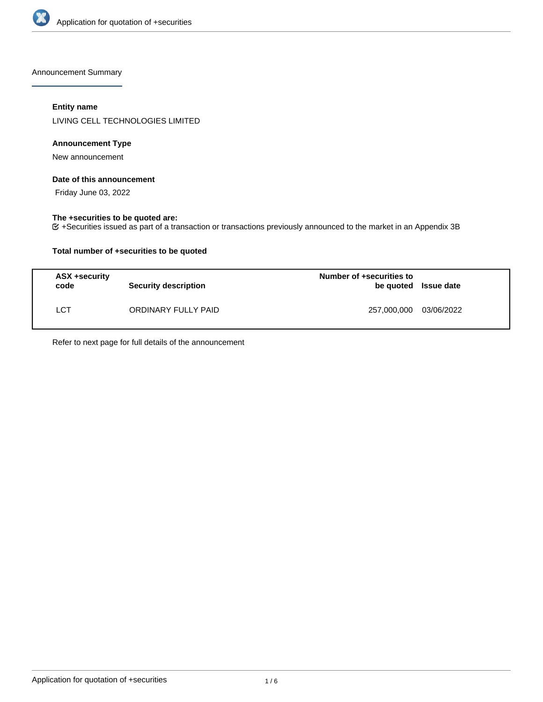

Announcement Summary

# **Entity name**

LIVING CELL TECHNOLOGIES LIMITED

# **Announcement Type**

New announcement

## **Date of this announcement**

Friday June 03, 2022

# **The +securities to be quoted are:**

+Securities issued as part of a transaction or transactions previously announced to the market in an Appendix 3B

# **Total number of +securities to be quoted**

| ASX +security<br>code | <b>Security description</b> | Number of +securities to<br>be quoted Issue date |            |
|-----------------------|-----------------------------|--------------------------------------------------|------------|
| LCT                   | ORDINARY FULLY PAID         | 257,000,000                                      | 03/06/2022 |

Refer to next page for full details of the announcement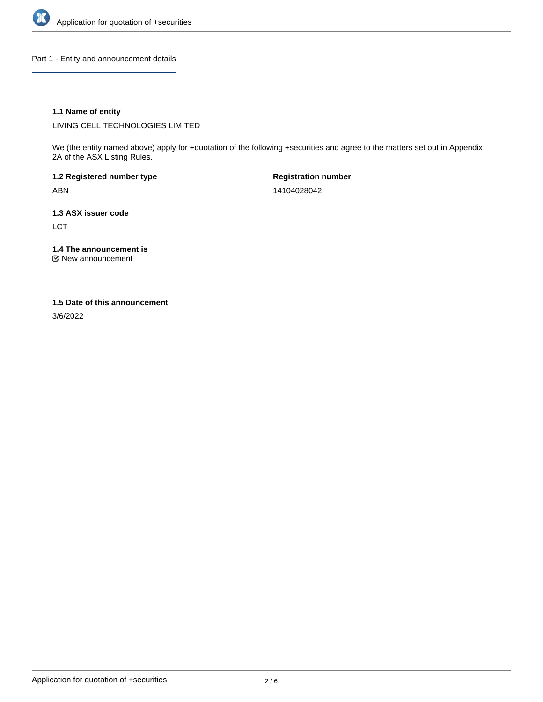

Part 1 - Entity and announcement details

# **1.1 Name of entity**

LIVING CELL TECHNOLOGIES LIMITED

We (the entity named above) apply for +quotation of the following +securities and agree to the matters set out in Appendix 2A of the ASX Listing Rules.

**1.2 Registered number type** ABN

**Registration number** 14104028042

**1.3 ASX issuer code LCT** 

**1.4 The announcement is**

New announcement

## **1.5 Date of this announcement**

3/6/2022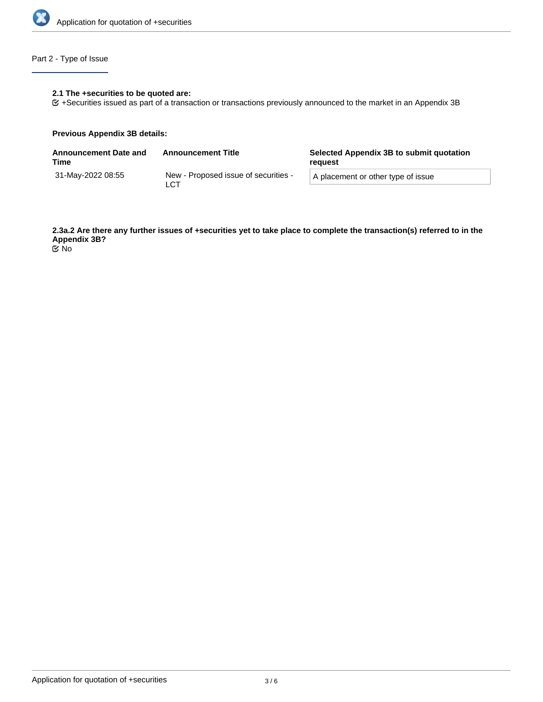

# Part 2 - Type of Issue

# **2.1 The +securities to be quoted are:**

+Securities issued as part of a transaction or transactions previously announced to the market in an Appendix 3B

## **Previous Appendix 3B details:**

| <b>Announcement Date and</b><br>Time | <b>Announcement Title</b>                   | Selected Appendix 3B to submit quotation<br>reguest |
|--------------------------------------|---------------------------------------------|-----------------------------------------------------|
| 31-Mav-2022 08:55                    | New - Proposed issue of securities -<br>LCT | A placement or other type of issue                  |

**2.3a.2 Are there any further issues of +securities yet to take place to complete the transaction(s) referred to in the Appendix 3B?**

No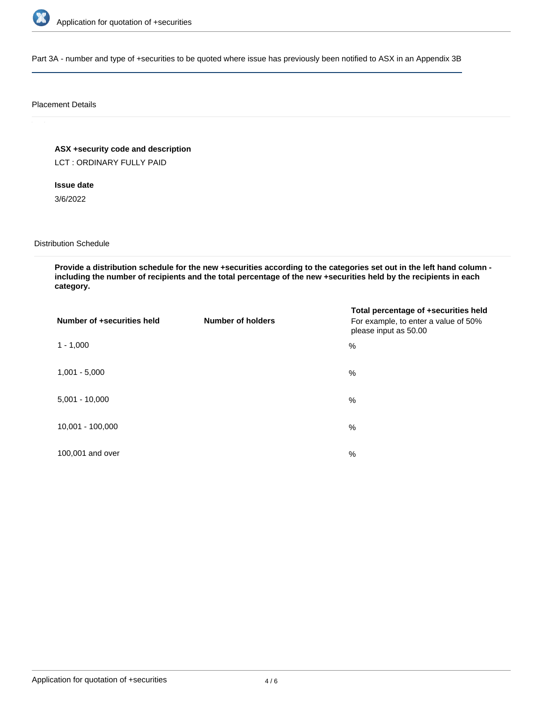

Part 3A - number and type of +securities to be quoted where issue has previously been notified to ASX in an Appendix 3B

## Placement Details

**ASX +security code and description**

LCT : ORDINARY FULLY PAID

**Issue date**

3/6/2022

Distribution Schedule

**Provide a distribution schedule for the new +securities according to the categories set out in the left hand column including the number of recipients and the total percentage of the new +securities held by the recipients in each category.**

| Number of +securities held | <b>Number of holders</b> | Total percentage of +securities held<br>For example, to enter a value of 50%<br>please input as 50.00 |
|----------------------------|--------------------------|-------------------------------------------------------------------------------------------------------|
| $1 - 1,000$                |                          | %                                                                                                     |
| $1,001 - 5,000$            |                          | $\%$                                                                                                  |
| $5,001 - 10,000$           |                          | %                                                                                                     |
| 10,001 - 100,000           |                          | $\%$                                                                                                  |
| 100,001 and over           |                          | $\%$                                                                                                  |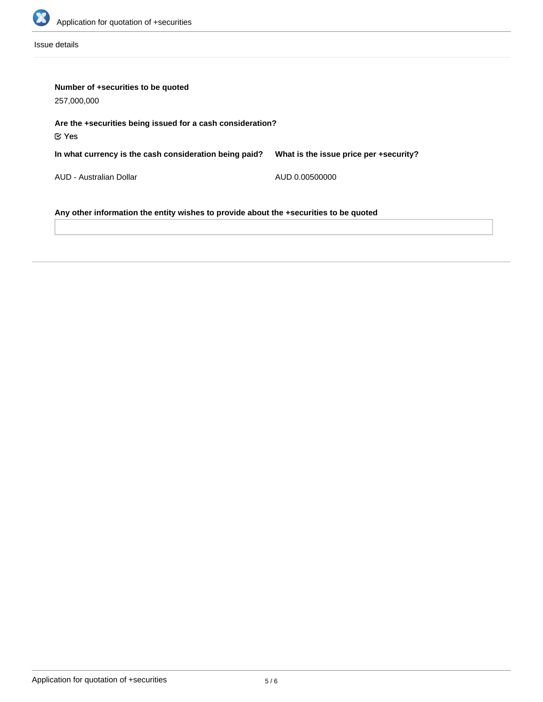

Issue details

| Number of +securities to be quoted<br>257,000,000                                     |                                        |  |  |  |
|---------------------------------------------------------------------------------------|----------------------------------------|--|--|--|
| Are the +securities being issued for a cash consideration?<br>$\mathfrak{C}$ Yes      |                                        |  |  |  |
| In what currency is the cash consideration being paid?                                | What is the issue price per +security? |  |  |  |
| AUD - Australian Dollar                                                               | AUD 0.00500000                         |  |  |  |
| Any other information the entity wishes to provide about the +securities to be quoted |                                        |  |  |  |